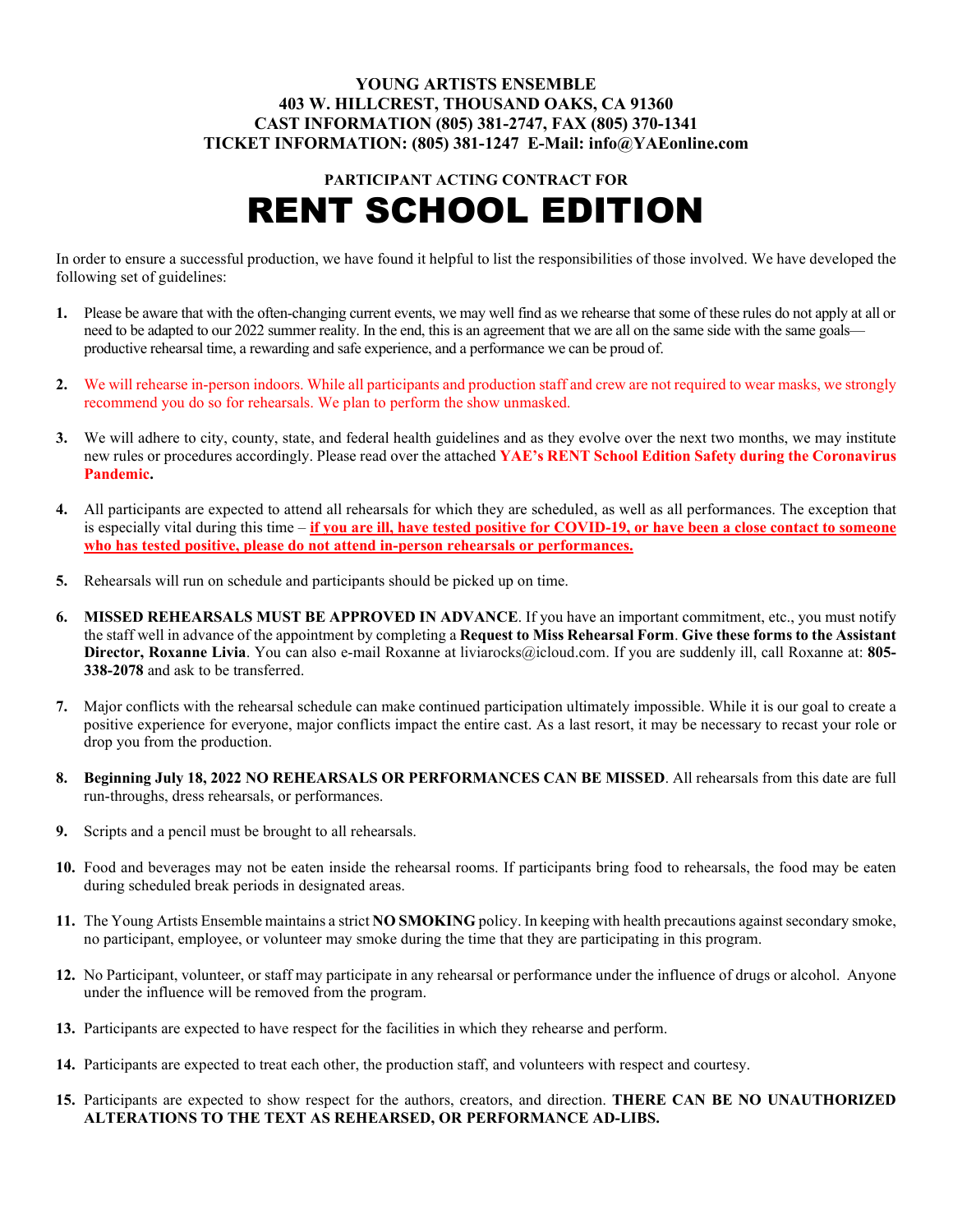## **YOUNG ARTISTS ENSEMBLE 403 W. HILLCREST, THOUSAND OAKS, CA 91360 CAST INFORMATION (805) 381-2747, FAX (805) 370-1341 TICKET INFORMATION: (805) 381-1247 E-Mail: info@YAEonline.com**

# **PARTICIPANT ACTING CONTRACT FOR** RENT SCHOOL EDITION

In order to ensure a successful production, we have found it helpful to list the responsibilities of those involved. We have developed the following set of guidelines:

- **1.** Please be aware that with the often-changing current events, we may well find as we rehearse that some of these rules do not apply at all or need to be adapted to our 2022 summer reality. In the end, this is an agreement that we are all on the same side with the same goals productive rehearsal time, a rewarding and safe experience, and a performance we can be proud of.
- **2.** We will rehearse in-person indoors. While all participants and production staff and crew are not required to wear masks, we strongly recommend you do so for rehearsals. We plan to perform the show unmasked.
- **3.** We will adhere to city, county, state, and federal health guidelines and as they evolve over the next two months, we may institute new rules or procedures accordingly. Please read over the attached **YAE's RENT School Edition Safety during the Coronavirus Pandemic.**
- **4.** All participants are expected to attend all rehearsals for which they are scheduled, as well as all performances. The exception that is especially vital during this time – **if you are ill, have tested positive for COVID-19, or have been a close contact to someone who has tested positive, please do not attend in-person rehearsals or performances.**
- **5.** Rehearsals will run on schedule and participants should be picked up on time.
- **6. MISSED REHEARSALS MUST BE APPROVED IN ADVANCE**. If you have an important commitment, etc., you must notify the staff well in advance of the appointment by completing a **Request to Miss Rehearsal Form**. **Give these forms to the Assistant Director, Roxanne Livia**. You can also e-mail Roxanne at [liviarocks@icloud.com.](mailto:liviarocks@icloud.com) If you are suddenly ill, call Roxanne at: **805- 338-2078** and ask to be transferred.
- **7.** Major conflicts with the rehearsal schedule can make continued participation ultimately impossible. While it is our goal to create a positive experience for everyone, major conflicts impact the entire cast. As a last resort, it may be necessary to recast your role or drop you from the production.
- **8. Beginning July 18, 2022 NO REHEARSALS OR PERFORMANCES CAN BE MISSED**. All rehearsals from this date are full run-throughs, dress rehearsals, or performances.
- **9.** Scripts and a pencil must be brought to all rehearsals.
- **10.** Food and beverages may not be eaten inside the rehearsal rooms. If participants bring food to rehearsals, the food may be eaten during scheduled break periods in designated areas.
- **11.** The Young Artists Ensemble maintains a strict **NO SMOKING** policy. In keeping with health precautions against secondary smoke, no participant, employee, or volunteer may smoke during the time that they are participating in this program.
- **12.** No Participant, volunteer, or staff may participate in any rehearsal or performance under the influence of drugs or alcohol. Anyone under the influence will be removed from the program.
- **13.** Participants are expected to have respect for the facilities in which they rehearse and perform.
- **14.** Participants are expected to treat each other, the production staff, and volunteers with respect and courtesy.
- **15.** Participants are expected to show respect for the authors, creators, and direction. **THERE CAN BE NO UNAUTHORIZED ALTERATIONS TO THE TEXT AS REHEARSED, OR PERFORMANCE AD-LIBS.**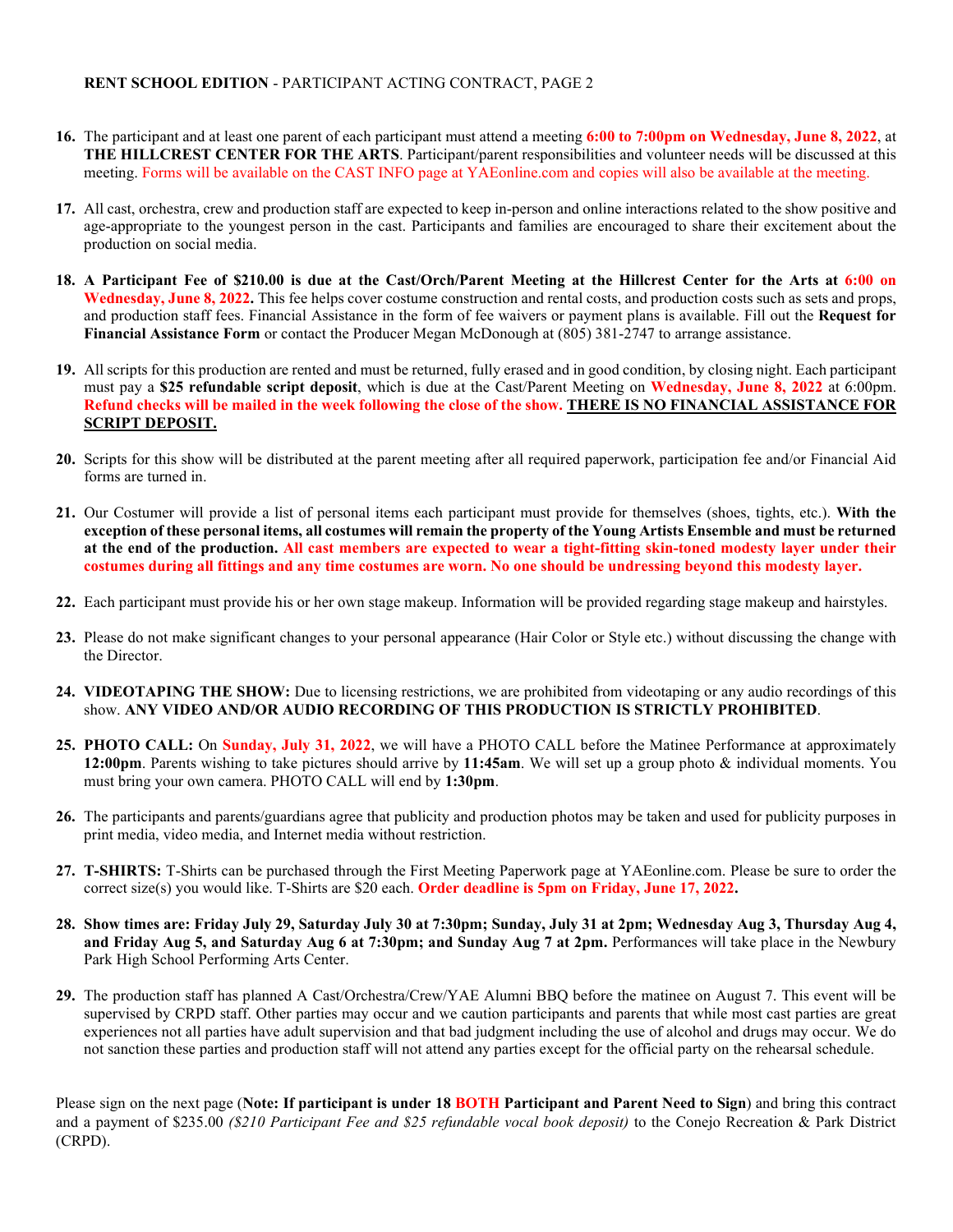#### **RENT SCHOOL EDITION** - PARTICIPANT ACTING CONTRACT, PAGE 2

- **16.** The participant and at least one parent of each participant must attend a meeting **6:00 to 7:00pm on Wednesday, June 8, 2022**, at **THE HILLCREST CENTER FOR THE ARTS**. Participant/parent responsibilities and volunteer needs will be discussed at this meeting. Forms will be available on the CAST INFO page at YAEonline.com and copies will also be available at the meeting.
- **17.** All cast, orchestra, crew and production staff are expected to keep in-person and online interactions related to the show positive and age-appropriate to the youngest person in the cast. Participants and families are encouraged to share their excitement about the production on social media.
- **18. A Participant Fee of \$210.00 is due at the Cast/Orch/Parent Meeting at the Hillcrest Center for the Arts at 6:00 on Wednesday, June 8, 2022.** This fee helps cover costume construction and rental costs, and production costs such as sets and props, and production staff fees. Financial Assistance in the form of fee waivers or payment plans is available. Fill out the **Request for Financial Assistance Form** or contact the Producer Megan McDonough at (805) 381-2747 to arrange assistance.
- **19.** All scripts for this production are rented and must be returned, fully erased and in good condition, by closing night. Each participant must pay a **\$25 refundable script deposit**, which is due at the Cast/Parent Meeting on **Wednesday, June 8, 2022** at 6:00pm. **Refund checks will be mailed in the week following the close of the show. THERE IS NO FINANCIAL ASSISTANCE FOR SCRIPT DEPOSIT.**
- **20.** Scripts for this show will be distributed at the parent meeting after all required paperwork, participation fee and/or Financial Aid forms are turned in.
- **21.** Our Costumer will provide a list of personal items each participant must provide for themselves (shoes, tights, etc.). **With the exception of these personal items, all costumes will remain the property of the Young Artists Ensemble and must be returned at the end of the production. All cast members are expected to wear a tight-fitting skin-toned modesty layer under their costumes during all fittings and any time costumes are worn. No one should be undressing beyond this modesty layer.**
- **22.** Each participant must provide his or her own stage makeup. Information will be provided regarding stage makeup and hairstyles.
- **23.** Please do not make significant changes to your personal appearance (Hair Color or Style etc.) without discussing the change with the Director.
- **24. VIDEOTAPING THE SHOW:** Due to licensing restrictions, we are prohibited from videotaping or any audio recordings of this show. **ANY VIDEO AND/OR AUDIO RECORDING OF THIS PRODUCTION IS STRICTLY PROHIBITED**.
- **25. PHOTO CALL:** On **Sunday, July 31, 2022**, we will have a PHOTO CALL before the Matinee Performance at approximately **12:00pm**. Parents wishing to take pictures should arrive by **11:45am**. We will set up a group photo & individual moments. You must bring your own camera. PHOTO CALL will end by **1:30pm**.
- **26.** The participants and parents/guardians agree that publicity and production photos may be taken and used for publicity purposes in print media, video media, and Internet media without restriction.
- **27. T-SHIRTS:** T-Shirts can be purchased through the First Meeting Paperwork page at YAEonline.com. Please be sure to order the correct size(s) you would like. T-Shirts are \$20 each. **Order deadline is 5pm on Friday, June 17, 2022.**
- **28. Show times are: Friday July 29, Saturday July 30 at 7:30pm; Sunday, July 31 at 2pm; Wednesday Aug 3, Thursday Aug 4, and Friday Aug 5, and Saturday Aug 6 at 7:30pm; and Sunday Aug 7 at 2pm.** Performances will take place in the Newbury Park High School Performing Arts Center.
- **29.** The production staff has planned A Cast/Orchestra/Crew/YAE Alumni BBQ before the matinee on August 7. This event will be supervised by CRPD staff. Other parties may occur and we caution participants and parents that while most cast parties are great experiences not all parties have adult supervision and that bad judgment including the use of alcohol and drugs may occur. We do not sanction these parties and production staff will not attend any parties except for the official party on the rehearsal schedule.

Please sign on the next page (**Note: If participant is under 18 BOTH Participant and Parent Need to Sign**) and bring this contract and a payment of \$235.00 *(\$210 Participant Fee and \$25 refundable vocal book deposit)* to the Conejo Recreation & Park District (CRPD).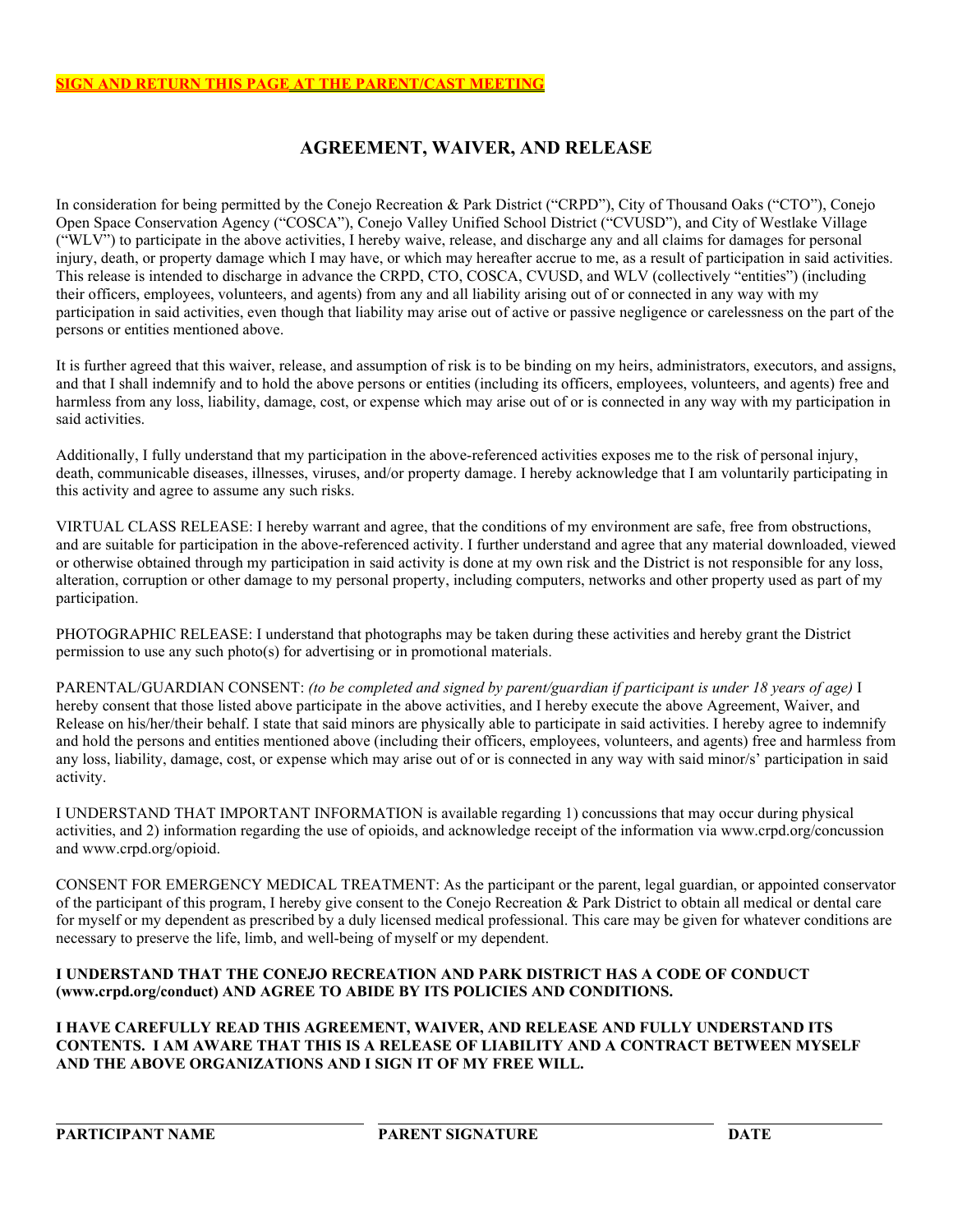## **AGREEMENT, WAIVER, AND RELEASE**

In consideration for being permitted by the Conejo Recreation & Park District ("CRPD"), City of Thousand Oaks ("CTO"), Conejo Open Space Conservation Agency ("COSCA"), Conejo Valley Unified School District ("CVUSD"), and City of Westlake Village  $($ "WLV") to participate in the above activities, I hereby waive, release, and discharge any and all claims for damages for personal injury, death, or property damage which I may have, or which may hereafter accrue to me, as a result of participation in said activities. This release is intended to discharge in advance the CRPD, CTO, COSCA, CVUSD, and WLV (collectively "entities") (including their officers, employees, volunteers, and agents) from any and all liability arising out of or connected in any way with my participation in said activities, even though that liability may arise out of active or passive negligence or carelessness on the part of the persons or entities mentioned above.

It is further agreed that this waiver, release, and assumption of risk is to be binding on my heirs, administrators, executors, and assigns, and that I shall indemnify and to hold the above persons or entities (including its officers, employees, volunteers, and agents) free and harmless from any loss, liability, damage, cost, or expense which may arise out of or is connected in any way with my participation in said activities.

Additionally, I fully understand that my participation in the above-referenced activities exposes me to the risk of personal injury, death, communicable diseases, illnesses, viruses, and/or property damage. I hereby acknowledge that I am voluntarily participating in this activity and agree to assume any such risks.

VIRTUAL CLASS RELEASE: I hereby warrant and agree, that the conditions of my environment are safe, free from obstructions, and are suitable for participation in the above-referenced activity. I further understand and agree that any material downloaded, viewed or otherwise obtained through my participation in said activity is done at my own risk and the District is not responsible for any loss, alteration, corruption or other damage to my personal property, including computers, networks and other property used as part of my participation.

PHOTOGRAPHIC RELEASE: I understand that photographs may be taken during these activities and hereby grant the District permission to use any such photo(s) for advertising or in promotional materials.

PARENTAL/GUARDIAN CONSENT: *(to be completed and signed by parent/guardian if participant is under 18 years of age)* I hereby consent that those listed above participate in the above activities, and I hereby execute the above Agreement, Waiver, and Release on his/her/their behalf. I state that said minors are physically able to participate in said activities. I hereby agree to indemnify and hold the persons and entities mentioned above (including their officers, employees, volunteers, and agents) free and harmless from any loss, liability, damage, cost, or expense which may arise out of or is connected in any way with said minor/s' participation in said activity.

I UNDERSTAND THAT IMPORTANT INFORMATION is available regarding 1) concussions that may occur during physical activities, and 2) information regarding the use of opioids, and acknowledge receipt of the information via www.crpd.org/concussion and www.crpd.org/opioid.

CONSENT FOR EMERGENCY MEDICAL TREATMENT: As the participant or the parent, legal guardian, or appointed conservator of the participant of this program, I hereby give consent to the Conejo Recreation & Park District to obtain all medical or dental care for myself or my dependent as prescribed by a duly licensed medical professional. This care may be given for whatever conditions are necessary to preserve the life, limb, and well-being of myself or my dependent.

## **I UNDERSTAND THAT THE CONEJO RECREATION AND PARK DISTRICT HAS A CODE OF CONDUCT (www.crpd.org/conduct) AND AGREE TO ABIDE BY ITS POLICIES AND CONDITIONS.**

**I HAVE CAREFULLY READ THIS AGREEMENT, WAIVER, AND RELEASE AND FULLY UNDERSTAND ITS CONTENTS. I AM AWARE THAT THIS IS A RELEASE OF LIABILITY AND A CONTRACT BETWEEN MYSELF AND THE ABOVE ORGANIZATIONS AND I SIGN IT OF MY FREE WILL.**